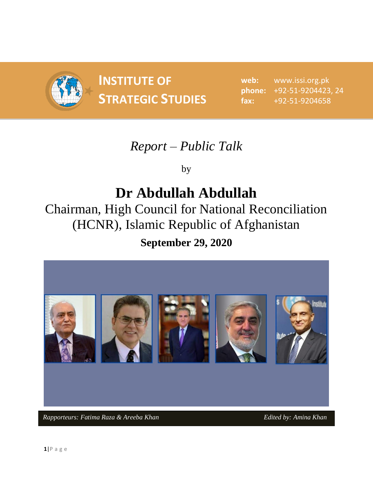

**INSTITUTE OF STRATEGIC STUDIES**  $\begin{bmatrix} 1 & 0 & 0 \\ 0 & 1 & 0 \\ 0 & 0 & 1 \end{bmatrix}$ 

**web:** www.issi.org.pk **phone:** +92-51-9204423, 24 **fax:** +92-51-9204658

## *Report – Public Talk*

by

# **Dr Abdullah Abdullah**

Chairman, High Council for National Reconciliation (HCNR), Islamic Republic of Afghanistan

## **September 29, 2020**

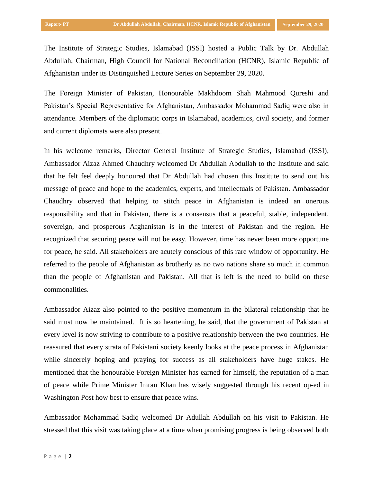The Institute of Strategic Studies, Islamabad (ISSI) hosted a Public Talk by Dr. Abdullah Abdullah, Chairman, High Council for National Reconciliation (HCNR), Islamic Republic of Afghanistan under its Distinguished Lecture Series on September 29, 2020.

The Foreign Minister of Pakistan, Honourable Makhdoom Shah Mahmood Qureshi and Pakistan's Special Representative for Afghanistan, Ambassador Mohammad Sadiq were also in attendance. Members of the diplomatic corps in Islamabad, academics, civil society, and former and current diplomats were also present.

In his welcome remarks, Director General Institute of Strategic Studies, Islamabad (ISSI), Ambassador Aizaz Ahmed Chaudhry welcomed Dr Abdullah Abdullah to the Institute and said that he felt feel deeply honoured that Dr Abdullah had chosen this Institute to send out his message of peace and hope to the academics, experts, and intellectuals of Pakistan. Ambassador Chaudhry observed that helping to stitch peace in Afghanistan is indeed an onerous responsibility and that in Pakistan, there is a consensus that a peaceful, stable, independent, sovereign, and prosperous Afghanistan is in the interest of Pakistan and the region. He recognized that securing peace will not be easy. However, time has never been more opportune for peace, he said. All stakeholders are acutely conscious of this rare window of opportunity. He referred to the people of Afghanistan as brotherly as no two nations share so much in common than the people of Afghanistan and Pakistan. All that is left is the need to build on these commonalities.

Ambassador Aizaz also pointed to the positive momentum in the bilateral relationship that he said must now be maintained. It is so heartening, he said, that the government of Pakistan at every level is now striving to contribute to a positive relationship between the two countries. He reassured that every strata of Pakistani society keenly looks at the peace process in Afghanistan while sincerely hoping and praying for success as all stakeholders have huge stakes. He mentioned that the honourable Foreign Minister has earned for himself, the reputation of a man of peace while Prime Minister Imran Khan has wisely suggested through his recent op-ed in Washington Post how best to ensure that peace wins.

Ambassador Mohammad Sadiq welcomed Dr Adullah Abdullah on his visit to Pakistan. He stressed that this visit was taking place at a time when promising progress is being observed both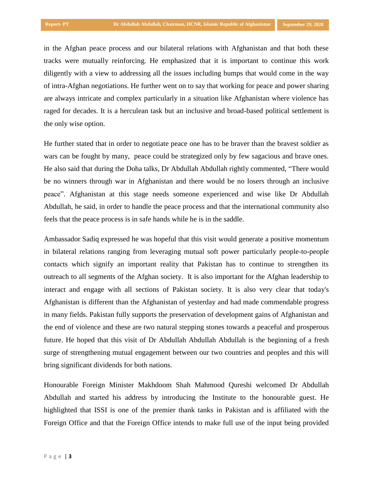in the Afghan peace process and our bilateral relations with Afghanistan and that both these tracks were mutually reinforcing. He emphasized that it is important to continue this work diligently with a view to addressing all the issues including bumps that would come in the way of intra-Afghan negotiations. He further went on to say that working for peace and power sharing are always intricate and complex particularly in a situation like Afghanistan where violence has raged for decades. It is a herculean task but an inclusive and broad-based political settlement is the only wise option.

He further stated that in order to negotiate peace one has to be braver than the bravest soldier as wars can be fought by many, peace could be strategized only by few sagacious and brave ones. He also said that during the Doha talks, Dr Abdullah Abdullah rightly commented, "There would be no winners through war in Afghanistan and there would be no losers through an inclusive peace". Afghanistan at this stage needs someone experienced and wise like Dr Abdullah Abdullah, he said, in order to handle the peace process and that the international community also feels that the peace process is in safe hands while he is in the saddle.

Ambassador Sadiq expressed he was hopeful that this visit would generate a positive momentum in bilateral relations ranging from leveraging mutual soft power particularly people-to-people contacts which signify an important reality that Pakistan has to continue to strengthen its outreach to all segments of the Afghan society. It is also important for the Afghan leadership to interact and engage with all sections of Pakistan society. It is also very clear that today's Afghanistan is different than the Afghanistan of yesterday and had made commendable progress in many fields. Pakistan fully supports the preservation of development gains of Afghanistan and the end of violence and these are two natural stepping stones towards a peaceful and prosperous future. He hoped that this visit of Dr Abdullah Abdullah Abdullah is the beginning of a fresh surge of strengthening mutual engagement between our two countries and peoples and this will bring significant dividends for both nations.

Honourable Foreign Minister Makhdoom Shah Mahmood Qureshi welcomed Dr Abdullah Abdullah and started his address by introducing the Institute to the honourable guest. He highlighted that ISSI is one of the premier thank tanks in Pakistan and is affiliated with the Foreign Office and that the Foreign Office intends to make full use of the input being provided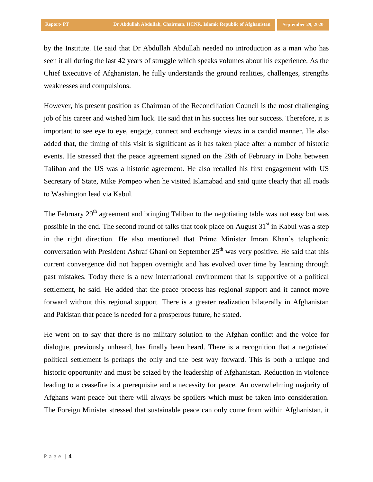by the Institute. He said that Dr Abdullah Abdullah needed no introduction as a man who has seen it all during the last 42 years of struggle which speaks volumes about his experience. As the Chief Executive of Afghanistan, he fully understands the ground realities, challenges, strengths weaknesses and compulsions.

However, his present position as Chairman of the Reconciliation Council is the most challenging job of his career and wished him luck. He said that in his success lies our success. Therefore, it is important to see eye to eye, engage, connect and exchange views in a candid manner. He also added that, the timing of this visit is significant as it has taken place after a number of historic events. He stressed that the peace agreement signed on the 29th of February in Doha between Taliban and the US was a historic agreement. He also recalled his first engagement with US Secretary of State, Mike Pompeo when he visited Islamabad and said quite clearly that all roads to Washington lead via Kabul.

The February  $29<sup>th</sup>$  agreement and bringing Taliban to the negotiating table was not easy but was possible in the end. The second round of talks that took place on August  $31<sup>st</sup>$  in Kabul was a step in the right direction. He also mentioned that Prime Minister Imran Khan's telephonic conversation with President Ashraf Ghani on September  $25<sup>th</sup>$  was very positive. He said that this current convergence did not happen overnight and has evolved over time by learning through past mistakes. Today there is a new international environment that is supportive of a political settlement, he said. He added that the peace process has regional support and it cannot move forward without this regional support. There is a greater realization bilaterally in Afghanistan and Pakistan that peace is needed for a prosperous future, he stated.

He went on to say that there is no military solution to the Afghan conflict and the voice for dialogue, previously unheard, has finally been heard. There is a recognition that a negotiated political settlement is perhaps the only and the best way forward. This is both a unique and historic opportunity and must be seized by the leadership of Afghanistan. Reduction in violence leading to a ceasefire is a prerequisite and a necessity for peace. An overwhelming majority of Afghans want peace but there will always be spoilers which must be taken into consideration. The Foreign Minister stressed that sustainable peace can only come from within Afghanistan, it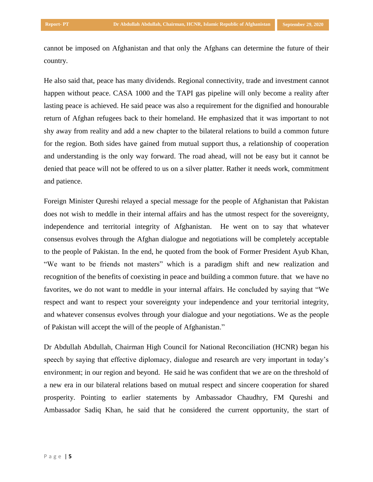cannot be imposed on Afghanistan and that only the Afghans can determine the future of their country.

He also said that, peace has many dividends. Regional connectivity, trade and investment cannot happen without peace. CASA 1000 and the TAPI gas pipeline will only become a reality after lasting peace is achieved. He said peace was also a requirement for the dignified and honourable return of Afghan refugees back to their homeland. He emphasized that it was important to not shy away from reality and add a new chapter to the bilateral relations to build a common future for the region. Both sides have gained from mutual support thus, a relationship of cooperation and understanding is the only way forward. The road ahead, will not be easy but it cannot be denied that peace will not be offered to us on a silver platter. Rather it needs work, commitment and patience.

Foreign Minister Qureshi relayed a special message for the people of Afghanistan that Pakistan does not wish to meddle in their internal affairs and has the utmost respect for the sovereignty, independence and territorial integrity of Afghanistan. He went on to say that whatever consensus evolves through the Afghan dialogue and negotiations will be completely acceptable to the people of Pakistan. In the end, he quoted from the book of Former President Ayub Khan, "We want to be friends not masters" which is a paradigm shift and new realization and recognition of the benefits of coexisting in peace and building a common future. that we have no favorites, we do not want to meddle in your internal affairs. He concluded by saying that "We respect and want to respect your sovereignty your independence and your territorial integrity, and whatever consensus evolves through your dialogue and your negotiations. We as the people of Pakistan will accept the will of the people of Afghanistan."

Dr Abdullah Abdullah, Chairman High Council for National Reconciliation (HCNR) began his speech by saying that effective diplomacy, dialogue and research are very important in today's environment; in our region and beyond. He said he was confident that we are on the threshold of a new era in our bilateral relations based on mutual respect and sincere cooperation for shared prosperity. Pointing to earlier statements by Ambassador Chaudhry, FM Qureshi and Ambassador Sadiq Khan, he said that he considered the current opportunity, the start of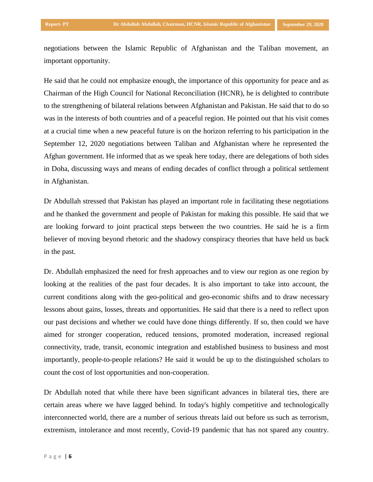negotiations between the Islamic Republic of Afghanistan and the Taliban movement, an important opportunity.

He said that he could not emphasize enough, the importance of this opportunity for peace and as Chairman of the High Council for National Reconciliation (HCNR), he is delighted to contribute to the strengthening of bilateral relations between Afghanistan and Pakistan. He said that to do so was in the interests of both countries and of a peaceful region. He pointed out that his visit comes at a crucial time when a new peaceful future is on the horizon referring to his participation in the September 12, 2020 negotiations between Taliban and Afghanistan where he represented the Afghan government. He informed that as we speak here today, there are delegations of both sides in Doha, discussing ways and means of ending decades of conflict through a political settlement in Afghanistan.

Dr Abdullah stressed that Pakistan has played an important role in facilitating these negotiations and he thanked the government and people of Pakistan for making this possible. He said that we are looking forward to joint practical steps between the two countries. He said he is a firm believer of moving beyond rhetoric and the shadowy conspiracy theories that have held us back in the past.

Dr. Abdullah emphasized the need for fresh approaches and to view our region as one region by looking at the realities of the past four decades. It is also important to take into account, the current conditions along with the geo-political and geo-economic shifts and to draw necessary lessons about gains, losses, threats and opportunities. He said that there is a need to reflect upon our past decisions and whether we could have done things differently. If so, then could we have aimed for stronger cooperation, reduced tensions, promoted moderation, increased regional connectivity, trade, transit, economic integration and established business to business and most importantly, people-to-people relations? He said it would be up to the distinguished scholars to count the cost of lost opportunities and non-cooperation.

Dr Abdullah noted that while there have been significant advances in bilateral ties, there are certain areas where we have lagged behind. In today's highly competitive and technologically interconnected world, there are a number of serious threats laid out before us such as terrorism, extremism, intolerance and most recently, Covid-19 pandemic that has not spared any country.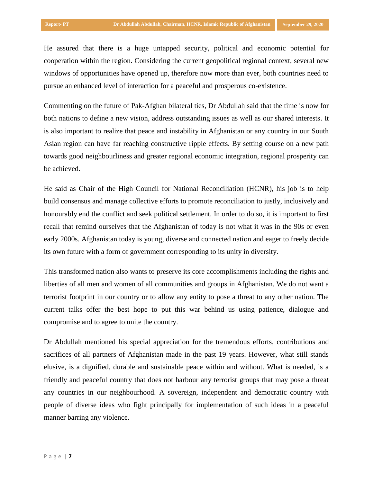He assured that there is a huge untapped security, political and economic potential for cooperation within the region. Considering the current geopolitical regional context, several new windows of opportunities have opened up, therefore now more than ever, both countries need to pursue an enhanced level of interaction for a peaceful and prosperous co-existence.

Commenting on the future of Pak-Afghan bilateral ties, Dr Abdullah said that the time is now for both nations to define a new vision, address outstanding issues as well as our shared interests. It is also important to realize that peace and instability in Afghanistan or any country in our South Asian region can have far reaching constructive ripple effects. By setting course on a new path towards good neighbourliness and greater regional economic integration, regional prosperity can be achieved.

He said as Chair of the High Council for National Reconciliation (HCNR), his job is to help build consensus and manage collective efforts to promote reconciliation to justly, inclusively and honourably end the conflict and seek political settlement. In order to do so, it is important to first recall that remind ourselves that the Afghanistan of today is not what it was in the 90s or even early 2000s. Afghanistan today is young, diverse and connected nation and eager to freely decide its own future with a form of government corresponding to its unity in diversity.

This transformed nation also wants to preserve its core accomplishments including the rights and liberties of all men and women of all communities and groups in Afghanistan. We do not want a terrorist footprint in our country or to allow any entity to pose a threat to any other nation. The current talks offer the best hope to put this war behind us using patience, dialogue and compromise and to agree to unite the country.

Dr Abdullah mentioned his special appreciation for the tremendous efforts, contributions and sacrifices of all partners of Afghanistan made in the past 19 years. However, what still stands elusive, is a dignified, durable and sustainable peace within and without. What is needed, is a friendly and peaceful country that does not harbour any terrorist groups that may pose a threat any countries in our neighbourhood. A sovereign, independent and democratic country with people of diverse ideas who fight principally for implementation of such ideas in a peaceful manner barring any violence.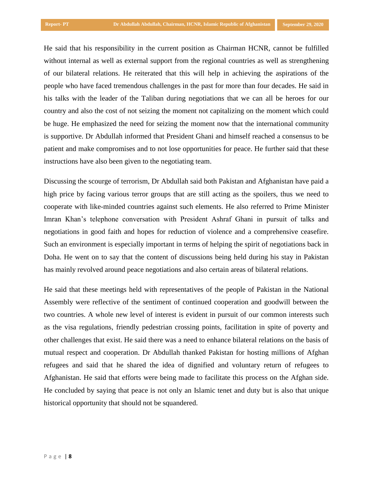He said that his responsibility in the current position as Chairman HCNR, cannot be fulfilled without internal as well as external support from the regional countries as well as strengthening of our bilateral relations. He reiterated that this will help in achieving the aspirations of the people who have faced tremendous challenges in the past for more than four decades. He said in his talks with the leader of the Taliban during negotiations that we can all be heroes for our country and also the cost of not seizing the moment not capitalizing on the moment which could be huge. He emphasized the need for seizing the moment now that the international community is supportive. Dr Abdullah informed that President Ghani and himself reached a consensus to be patient and make compromises and to not lose opportunities for peace. He further said that these instructions have also been given to the negotiating team.

Discussing the scourge of terrorism, Dr Abdullah said both Pakistan and Afghanistan have paid a high price by facing various terror groups that are still acting as the spoilers, thus we need to cooperate with like-minded countries against such elements. He also referred to Prime Minister Imran Khan's telephone conversation with President Ashraf Ghani in pursuit of talks and negotiations in good faith and hopes for reduction of violence and a comprehensive ceasefire. Such an environment is especially important in terms of helping the spirit of negotiations back in Doha. He went on to say that the content of discussions being held during his stay in Pakistan has mainly revolved around peace negotiations and also certain areas of bilateral relations.

He said that these meetings held with representatives of the people of Pakistan in the National Assembly were reflective of the sentiment of continued cooperation and goodwill between the two countries. A whole new level of interest is evident in pursuit of our common interests such as the visa regulations, friendly pedestrian crossing points, facilitation in spite of poverty and other challenges that exist. He said there was a need to enhance bilateral relations on the basis of mutual respect and cooperation. Dr Abdullah thanked Pakistan for hosting millions of Afghan refugees and said that he shared the idea of dignified and voluntary return of refugees to Afghanistan. He said that efforts were being made to facilitate this process on the Afghan side. He concluded by saying that peace is not only an Islamic tenet and duty but is also that unique historical opportunity that should not be squandered.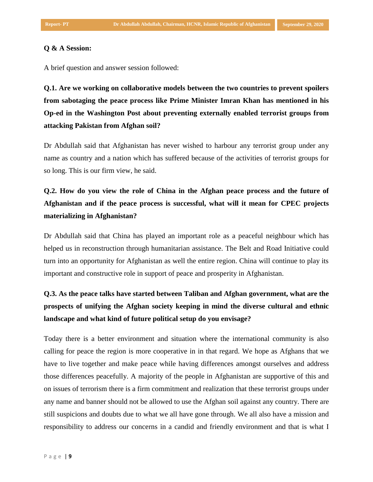#### **Q & A Session:**

A brief question and answer session followed:

**Q.1. Are we working on collaborative models between the two countries to prevent spoilers from sabotaging the peace process like Prime Minister Imran Khan has mentioned in his Op-ed in the Washington Post about preventing externally enabled terrorist groups from attacking Pakistan from Afghan soil?** 

Dr Abdullah said that Afghanistan has never wished to harbour any terrorist group under any name as country and a nation which has suffered because of the activities of terrorist groups for so long. This is our firm view, he said.

### **Q.2. How do you view the role of China in the Afghan peace process and the future of Afghanistan and if the peace process is successful, what will it mean for CPEC projects materializing in Afghanistan?**

Dr Abdullah said that China has played an important role as a peaceful neighbour which has helped us in reconstruction through humanitarian assistance. The Belt and Road Initiative could turn into an opportunity for Afghanistan as well the entire region. China will continue to play its important and constructive role in support of peace and prosperity in Afghanistan.

### **Q.3. As the peace talks have started between Taliban and Afghan government, what are the prospects of unifying the Afghan society keeping in mind the diverse cultural and ethnic landscape and what kind of future political setup do you envisage?**

Today there is a better environment and situation where the international community is also calling for peace the region is more cooperative in in that regard. We hope as Afghans that we have to live together and make peace while having differences amongst ourselves and address those differences peacefully. A majority of the people in Afghanistan are supportive of this and on issues of terrorism there is a firm commitment and realization that these terrorist groups under any name and banner should not be allowed to use the Afghan soil against any country. There are still suspicions and doubts due to what we all have gone through. We all also have a mission and responsibility to address our concerns in a candid and friendly environment and that is what I